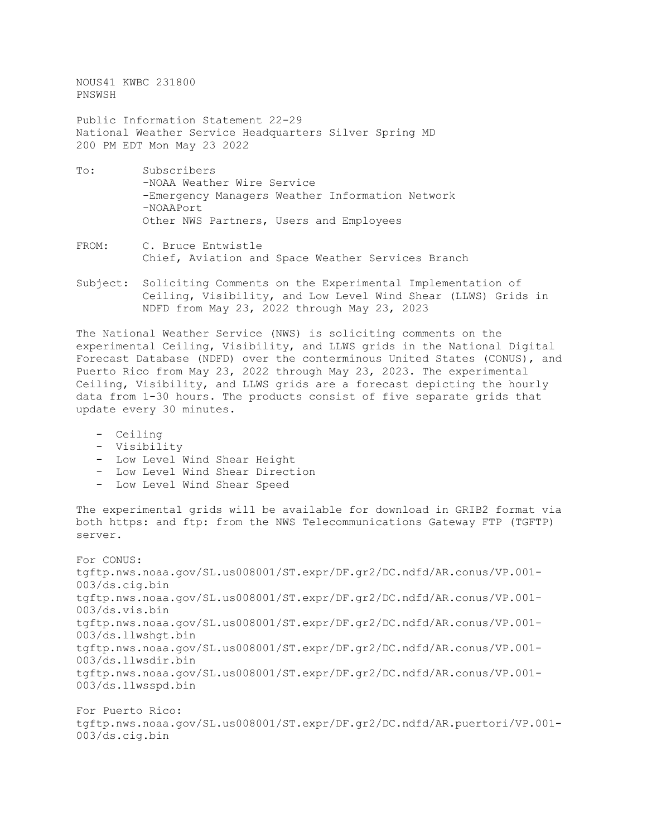NOUS41 KWBC 231800 PNSWSH

Public Information Statement 22-29 National Weather Service Headquarters Silver Spring MD 200 PM EDT Mon May 23 2022

- To: Subscribers -NOAA Weather Wire Service -Emergency Managers Weather Information Network -NOAAPort Other NWS Partners, Users and Employees
- FROM: C. Bruce Entwistle Chief, Aviation and Space Weather Services Branch
- Subject: Soliciting Comments on the Experimental Implementation of Ceiling, Visibility, and Low Level Wind Shear (LLWS) Grids in NDFD from May 23, 2022 through May 23, 2023

The National Weather Service (NWS) is soliciting comments on the experimental Ceiling, Visibility, and LLWS grids in the National Digital Forecast Database (NDFD) over the conterminous United States (CONUS), and Puerto Rico from May 23, 2022 through May 23, 2023. The experimental Ceiling, Visibility, and LLWS grids are a forecast depicting the hourly data from 1-30 hours. The products consist of five separate grids that update every 30 minutes.

- Ceiling
- Visibility
- Low Level Wind Shear Height
- Low Level Wind Shear Direction
- Low Level Wind Shear Speed

The experimental grids will be available for download in GRIB2 format via both https: and ftp: from the NWS Telecommunications Gateway FTP (TGFTP) server.

For CONUS: tgftp.nws.noaa.gov/SL.us008001/ST.expr/DF.gr2/DC.ndfd/AR.conus/VP.001- 003/ds.cig.bin tgftp.nws.noaa.gov/SL.us008001/ST.expr/DF.gr2/DC.ndfd/AR.conus/VP.001- 003/ds.vis.bin tgftp.nws.noaa.gov/SL.us008001/ST.expr/DF.gr2/DC.ndfd/AR.conus/VP.001- 003/ds.llwshgt.bin tgftp.nws.noaa.gov/SL.us008001/ST.expr/DF.gr2/DC.ndfd/AR.conus/VP.001- 003/ds.llwsdir.bin tgftp.nws.noaa.gov/SL.us008001/ST.expr/DF.gr2/DC.ndfd/AR.conus/VP.001- 003/ds.llwsspd.bin

For Puerto Rico: tgftp.nws.noaa.gov/SL.us008001/ST.expr/DF.gr2/DC.ndfd/AR.puertori/VP.001- 003/ds.cig.bin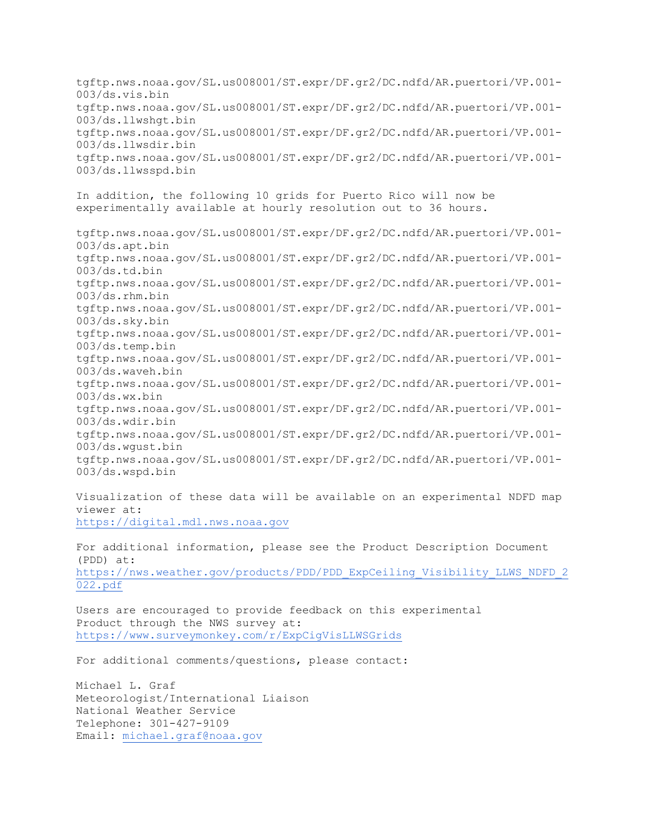tgftp.nws.noaa.gov/SL.us008001/ST.expr/DF.gr2/DC.ndfd/AR.puertori/VP.001- 003/ds.vis.bin tgftp.nws.noaa.gov/SL.us008001/ST.expr/DF.gr2/DC.ndfd/AR.puertori/VP.001- 003/ds.llwshgt.bin tgftp.nws.noaa.gov/SL.us008001/ST.expr/DF.gr2/DC.ndfd/AR.puertori/VP.001- 003/ds.llwsdir.bin tgftp.nws.noaa.gov/SL.us008001/ST.expr/DF.gr2/DC.ndfd/AR.puertori/VP.001- 003/ds.llwsspd.bin In addition, the following 10 grids for Puerto Rico will now be experimentally available at hourly resolution out to 36 hours. tgftp.nws.noaa.gov/SL.us008001/ST.expr/DF.gr2/DC.ndfd/AR.puertori/VP.001- 003/ds.apt.bin tgftp.nws.noaa.gov/SL.us008001/ST.expr/DF.gr2/DC.ndfd/AR.puertori/VP.001- 003/ds.td.bin tgftp.nws.noaa.gov/SL.us008001/ST.expr/DF.gr2/DC.ndfd/AR.puertori/VP.001- 003/ds.rhm.bin tgftp.nws.noaa.gov/SL.us008001/ST.expr/DF.gr2/DC.ndfd/AR.puertori/VP.001- 003/ds.sky.bin tgftp.nws.noaa.gov/SL.us008001/ST.expr/DF.gr2/DC.ndfd/AR.puertori/VP.001- 003/ds.temp.bin tgftp.nws.noaa.gov/SL.us008001/ST.expr/DF.gr2/DC.ndfd/AR.puertori/VP.001- 003/ds.waveh.bin tgftp.nws.noaa.gov/SL.us008001/ST.expr/DF.gr2/DC.ndfd/AR.puertori/VP.001- 003/ds.wx.bin tgftp.nws.noaa.gov/SL.us008001/ST.expr/DF.gr2/DC.ndfd/AR.puertori/VP.001- 003/ds.wdir.bin tgftp.nws.noaa.gov/SL.us008001/ST.expr/DF.gr2/DC.ndfd/AR.puertori/VP.001- 003/ds.wgust.bin tgftp.nws.noaa.gov/SL.us008001/ST.expr/DF.gr2/DC.ndfd/AR.puertori/VP.001- 003/ds.wspd.bin

Visualization of these data will be available on an experimental NDFD map viewer at: [https://digital.mdl.nws.noaa.gov](https://digital-c.mdl.nws.noaa.gov/)

For additional information, please see the Product Description Document (PDD) at: [https://nws.weather.gov/products/PDD/PDD\\_ExpCeiling\\_Visibility\\_LLWS\\_NDFD\\_2](https://nws.weather.gov/products/PDD/PDD_ExpCeiling_Visibility_LLWS_NDFD_2022.pdf) [022.pdf](https://nws.weather.gov/products/PDD/PDD_ExpCeiling_Visibility_LLWS_NDFD_2022.pdf)

Users are encouraged to provide feedback on this experimental Product through the NWS survey at: <https://www.surveymonkey.com/r/ExpCigVisLLWSGrids>

For additional comments/questions, please contact:

Michael L. Graf Meteorologist/International Liaison National Weather Service Telephone: 301-427-9109 Email: [michael.graf@noaa.gov](mailto:michael.graf@noaa.gov)